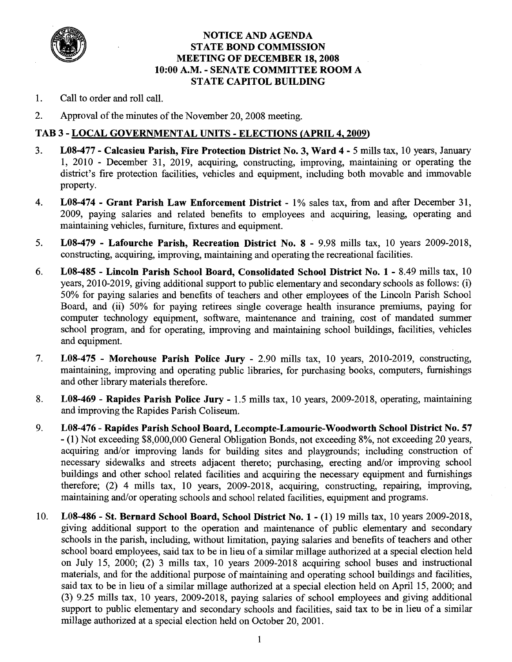

#### **NOTICE AND AGENDA STATE BOND COMMISSION MEETING OF DECEMBER 18,2008 10:OO A.M.** - **SENATE COMMITTEE ROOM A STATE CAPITOL BUILDING**

- 1. Call to order and roll call.
- 2. Approval of the minutes of the November 20,2008 meeting.

#### **TAB 3** - **LOCAL GOVERNMENTAL UNITS** - **ELECTIONS (APRIL 4,2009)**

- 3. **L08-477 Calcasieu Parish, Fire Protection District No. 3, Ward 4**  5 mills tax, 10 years, January 1,  $2010$  - December 31,  $2019$ , acquiring, constructing, improving, maintaining or operating the district's fire protection facilities, vehicles and equipment, including both movable and immovable property.
- 4. **L08-474 Grant Parish Law Enforcement District**  1% sales tax, from and after December 31, 2009, paying salaries and related benefits to employees and acquiring, leasing, operating and maintaining vehicles, furniture, fixtures and equipment.
- 5. **LO8-479 Lafourche Parish, Recreation District No. 8**  9.98 mills tax, 10 years 2009-2018, constructing, acquiring, improving, maintaining and operating the recreational facilities.
- *6.* **LO8-485 Lincoln Parish School Board, Consolidated School District No. 1**  8.49 mills tax, 10 years, 2010-2019, giving additional support to public elementary and secondary schools as follows: (i) 50% for paying salaries and benefits of teachers and other employees of the Lincoln Parish School Board, and (ii) 50% for paying retirees single coverage health insurance premiums, paying for computer technology equipment, software, maintenance and training, cost of mandated summer school program, and for operating, improving and maintaining school buildings, facilities, vehicles and equipment.
- 7. **LO8-475 Morehouse Parish Police Jury**  2.90 mills tax, 10 years, 2010-2019, constructing, maintaining, improving and operating public libraries, for purchasing books, computers, furnishings and other library materials therefore.
- 8. **LO8-469 Rapides Parish Police Jury**  1.5 mills tax, 10 years, 2009-2018, operating, maintaining and improving the Rapides Parish Coliseum.
- 9. **L08-476 Rapides Parish School Board, Lecompte-Lamourie-Woodworth School District No. 57**  - (1) Not exceeding \$8,000,000 General Obligation Bonds, not exceeding 8%, not exceeding 20 years, acquiring and/or improving lands for building sites and playgrounds; including construction of necessary sidewalks and streets adjacent thereto; purchasing, erecting and/or improving school buildings and other school related facilities and acquiring the necessary equipment and furnishings therefore; (2) 4 mills tax, 10 years, 2009-2018, acquiring, constructing, repairing, improving, maintaining and/or operating schools and school related facilities, equipment and programs.
- 10. **LO8-486 St. Bernard School Board, School District No. 1**  (1) 19 mills tax, 10 years 2009-2018, giving additional support to the operation and maintenance of public elementary and secondary schools in the parish, including, without limitation, paying salaries and benefits of teachers and other school board employees, said tax to be in lieu of a similar millage authorized at a special election held on July 15, 2000; (2) 3 mills tax, 10 years 2009-2018 acquiring school buses and instructional materials, and for the additional purpose of maintaining and operating school buildings and facilities, said tax to be in lieu of a similar millage authorized at a special election held on April 15, 2000; and (3) 9.25 mills tax, 10 years, 2009-2018, paying salaries of school employees and giving additional support to public elementary and secondary schools and facilities, said tax to be in lieu of a similar millage authorized at a special election held on October 20,2001.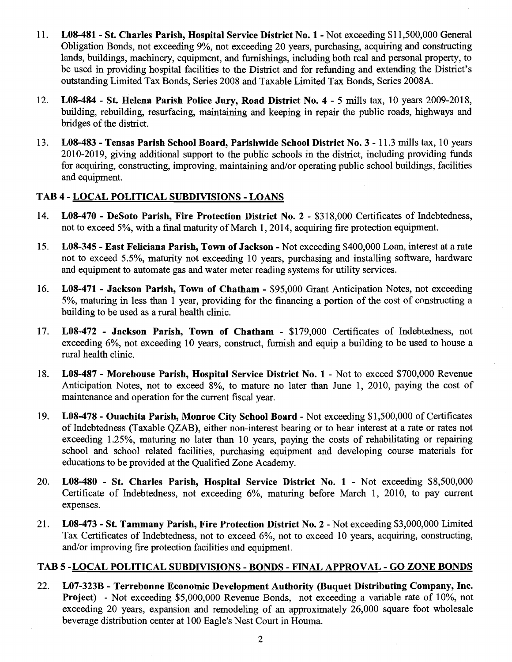- 11. **LO8-481 St. Charles Parish, Hospital Service District No. 1**  Not exceeding \$1 1,500,000 General Obligation Bonds, not exceeding 9%, not exceeding 20 years, purchasing, acquiring and constructing lands, buildings, machinery, equipment, and furnishings, including both real and personal property, to be used in providing hospital facilities to the District and for refunding and extending the District's outstanding Limited Tax Bonds, Series 2008 and Taxable Limited Tax Bonds, Series 2008A.
- 12. **LO8-484 St. Helena Parish Police Jury, Road District No. 4**  5 mills tax, 10 years 2009-2018, building, rebuilding, resurfacing, maintaining and keeping in repair the public roads, highways and bridges of the district.
- 13. **LO8-483 Tensas Parish School Board, Parishwide School District No. 3**  11.3 mills tax, 10 years 2010-2019, giving additional support to the public schools in the district, including providing funds for acquiring, constructing, improving, maintaining and/or operating public school buildings, facilities and equipment.

#### **TAB 4** - **LOCAL POLITICAL SUBDIVISIONS** - **LOANS**

- 14. **LO8-470 DeSoto Parish, Fire Protection District No. 2**  \$318,000 Certificates of Indebtedness, not to exceed 5%, with a final maturity of March 1,2014, acquiring fire protection equipment.
- 15. **LO8-345 East Feliciana Parish, Town of Jackson**  Not exceeding \$400,000 Loan, interest at a rate not to exceed 5.5%, maturity not exceeding 10 years, purchasing and installing software, hardware and equipment to automate gas and water meter reading systems for utility services.
- 16. **LO8-471 Jackson Parish, Town of Chatham**  \$95,000 Grant Anticipation Notes, not exceeding 5%, maturing in less than 1 year, providing for the financing a portion of the cost of constructing a building to be used as a rural health clinic.
- 17. **L08-472 Jackson Parish, Town of Chatham**  \$179,000 Certificates of Indebtedness, not exceeding 6%, not exceeding 10 years, construct, furnish and equip a building to be used to house a rural health clinic.
- 18. **LOS-487 Morehouse Parish, Hospital Service District No. 1**  Not to exceed \$700,000 Revenue Anticipation Notes, not to exceed 8%, to mature no later than June 1, 2010, paying the cost of maintenance and operation for the current fiscal year.
- 19. **LOS-478 Ouachita Parish, Monroe City School Board**  Not exceeding \$1,500,000 of Certificates of Indebtedness (Taxable QZAB), either non-interest bearing or to bear interest at a rate or rates not exceeding 1.25%, maturing no later than 10 years, paying the costs of rehabilitating or repairing school and school related facilities, purchasing equipment and developing course materials for educations to be provided at the Qualified Zone Academy.
- 20. **LO8-480 St. Charles Parish, Hospital Service District No. 1**  Not exceeding \$8,500,000 Certificate of Indebtedness, not exceeding 6%, maturing before March 1, 2010, to pay current expenses.
- 21. **L08-473 St. Tammany Parish, Fire Protection District No. 2**  Not exceeding \$3,000,000 Limited Tax Certificates of Indebtedness, not to exceed 6%, not to exceed 10 years, acquiring, constructing, and/or improving fire protection facilities and equipment.

#### **TAB 5 -LOCAL POLITICAL SUBDIVISIONS** - **BONDS** - **FINAL APPROVAL** - **GO ZONE BONDS**

22. **L07-323B** - **Terrebonne Economic Development Authority (Buquet Distributing Company, Inc. Project)** - Not exceeding \$5,000,000 Revenue Bonds, not exceeding a variable rate of 10%, not exceeding 20 years, expansion and remodeling of an approximately 26,000 square foot wholesale beverage distribution center at 100 Eagle's Nest Court in Houma.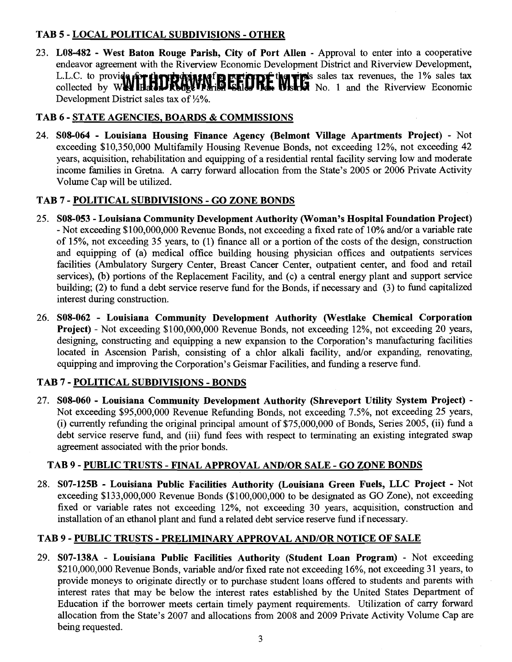## **TAB 5** - **LOCAL POLITICAL SUBDIVISIONS** - **OTHER**

23. **LO8-482** - **West Baton Rouge Parish, City of Port Allen** - Approval to enter into a cooperative endeavor agreement with the Riverview Economic Development District and Riverview Development, s sales tax revenues, the 1% sales **tax**  No. 1 and the Riverview Economic Development District sales tax of  $\frac{1}{2}\%$ .

# **TAB 6** - **STATE AGENCIES, BOARDS** & **COMMISSIONS**

24. **SO8-064** - **Louisiana Housing Finance Agency (Belmont Village Apartments Project)** - Not exceeding \$10,350,000 Multifamily Housing Revenue Bonds, not exceeding 12%, not exceeding 42 years, acquisition, rehabilitation and equipping of a residential rental facility serving low and moderate income families in Gretna. A carry forward allocation from the State's 2005 or 2006 Private Activity Volume Cap will be utilized.

## **TAB 7** - **POLITICAL SUBDIVISIONS** - **GO ZONE BONDS**

- 25. **SO8-053 Louisiana Community Development Authority (Woman's Hospital Foundation Project)**  - Not exceeding \$100,000,000 Revenue Bonds, not exceeding a fixed rate of 10% and/or a variable rate of 15%, not exceeding 35 years, to (1) finance all or a portion of the costs of the design, construction and equipping of (a) medical office building housing physician offices and outpatients services facilities (Ambulatory Surgery Center, Breast Cancer Center, outpatient center, and food and retail services), (b) portions of the Replacement Facility, and (c) a central energy plant and support service building; (2) to fund a debt service reserve fund for the Bonds, if necessary and (3) to fund capitalized interest during construction.
- 26. **SO8-062 Louisiana Community Development Authority (Westlake Chemical Corporation Project)** - Not exceeding \$100,000,000 Revenue Bonds, not exceeding 12%, not exceeding 20 years, designing, constructing and equipping a new expansion to the Corporation's manufacturing facilities located in Ascension Parish, consisting of a chlor alkali facility, and/or expanding, renovating, equipping and improving the Corporation's Geismar Facilities, and funding a reserve fund.

## **TAB 7** - **POLITICAL SUBDIVISIONS** - **BONDS**

27. **SO8-060** - **Louisiana Community Development Authority (Shreveport Utility System Project)** - Not exceeding \$95,000,000 Revenue Refunding Bonds, not exceeding 7.5%, not exceeding 25 years, (i) currently refunding the original principal amount of \$75,000,000 of Bonds, Series 2005, (ii) fund a debt service reserve fund, and (iii) fund fees with respect to terminating an existing integrated swap agreement associated with the prior bonds.

## **TAB 9** - **PUBLIC TRUSTS** - **FINAL APPROVAL AND/OR SALE** - **GO ZONE BONDS**

28. **S07-125B** - **Louisiana Public Facilities Authority (Louisiana Green Fuels, LLC Project** - Not exceeding \$133,000,000 Revenue Bonds (\$100,000,000 to be designated as GO Zone), not exceeding fixed or variable rates not exceeding 12%, not exceeding 30 years, acquisition, construction and installation of an ethanol plant and fund a related debt service reserve fund if necessary.

## **TAB 9** - **PUBLIC TRUSTS** - **PRELIMINARY APPROVAL AND/OR NOTICE OF SALE**

29. **S07-138A** - **Louisiana Public Facilities Authority (Student Loan Program)** - Not exceeding \$210,000,000 Revenue Bonds, variable and/or fixed rate not exceeding 16%, not exceeding 31 years, to provide moneys to originate directly or to purchase student loans offered to students and parents with interest rates that may be below the interest rates established by the United States Department of Education if the borrower meets certain timely payment requirements. Utilization of carry forward allocation fiom the State's 2007 and allocations from 2008 and 2009 Private Activity Volume Cap are being requested.